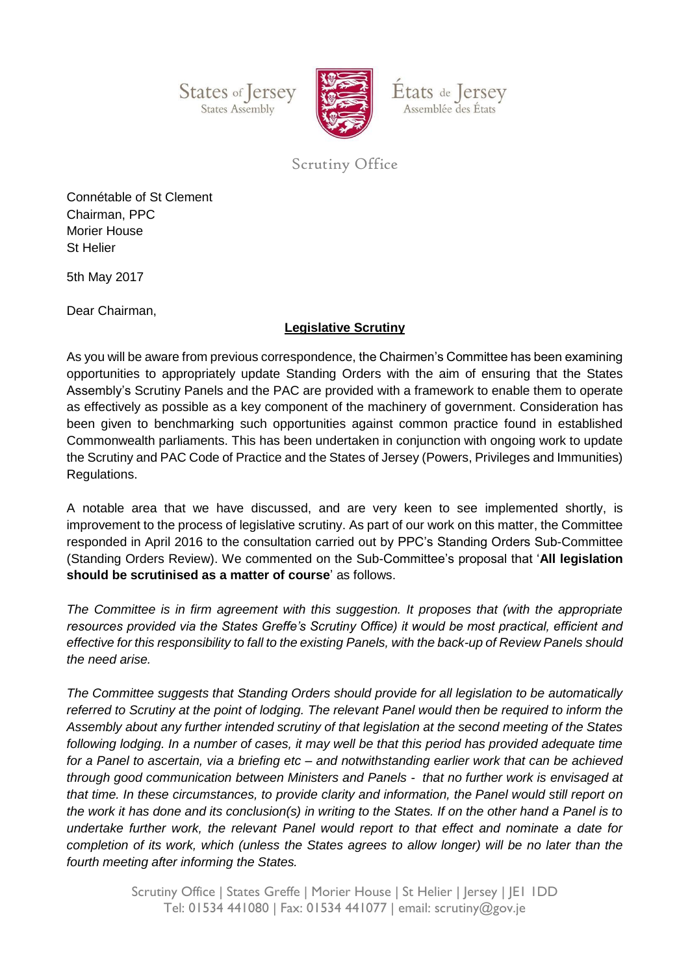States of Jersey States Assembly



États de Jersey Assemblée des États

## Scrutiny Office

Connétable of St Clement Chairman, PPC Morier House St Helier

5th May 2017

Dear Chairman,

## **Legislative Scrutiny**

As you will be aware from previous correspondence, the Chairmen's Committee has been examining opportunities to appropriately update Standing Orders with the aim of ensuring that the States Assembly's Scrutiny Panels and the PAC are provided with a framework to enable them to operate as effectively as possible as a key component of the machinery of government. Consideration has been given to benchmarking such opportunities against common practice found in established Commonwealth parliaments. This has been undertaken in conjunction with ongoing work to update the Scrutiny and PAC Code of Practice and the States of Jersey (Powers, Privileges and Immunities) Regulations.

A notable area that we have discussed, and are very keen to see implemented shortly, is improvement to the process of legislative scrutiny. As part of our work on this matter, the Committee responded in April 2016 to the consultation carried out by PPC's Standing Orders Sub-Committee (Standing Orders Review). We commented on the Sub-Committee's proposal that '**All legislation should be scrutinised as a matter of course**' as follows.

*The Committee is in firm agreement with this suggestion. It proposes that (with the appropriate resources provided via the States Greffe's Scrutiny Office) it would be most practical, efficient and effective for this responsibility to fall to the existing Panels, with the back-up of Review Panels should the need arise.* 

*The Committee suggests that Standing Orders should provide for all legislation to be automatically referred to Scrutiny at the point of lodging. The relevant Panel would then be required to inform the Assembly about any further intended scrutiny of that legislation at the second meeting of the States*  following lodging. In a number of cases, it may well be that this period has provided adequate time *for a Panel to ascertain, via a briefing etc – and notwithstanding earlier work that can be achieved through good communication between Ministers and Panels - that no further work is envisaged at that time. In these circumstances, to provide clarity and information, the Panel would still report on the work it has done and its conclusion(s) in writing to the States. If on the other hand a Panel is to undertake further work, the relevant Panel would report to that effect and nominate a date for completion of its work, which (unless the States agrees to allow longer) will be no later than the fourth meeting after informing the States.*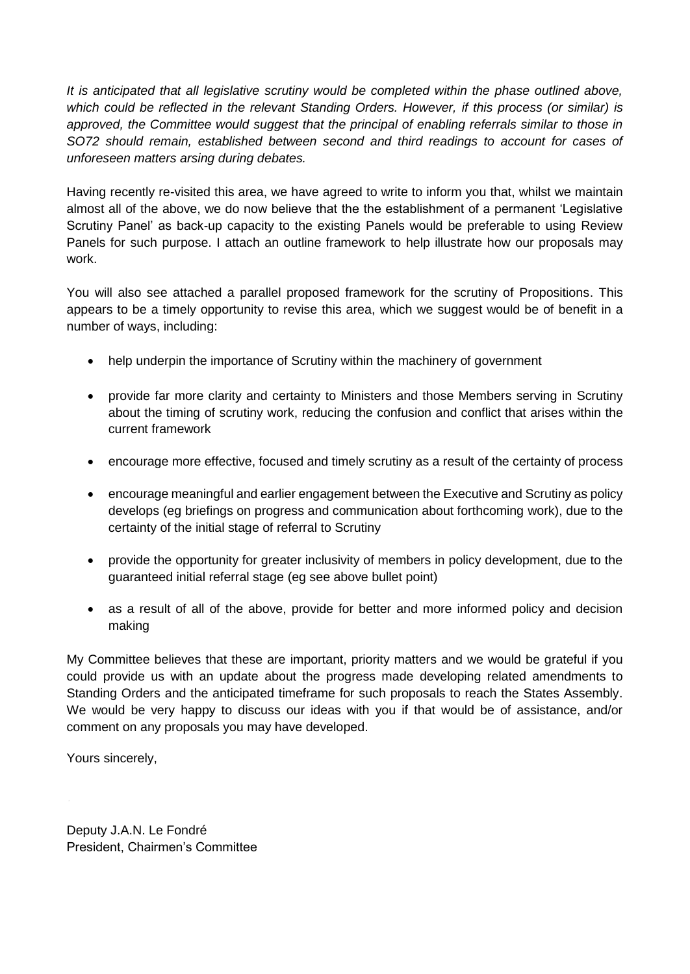*It is anticipated that all legislative scrutiny would be completed within the phase outlined above, which could be reflected in the relevant Standing Orders. However, if this process (or similar) is approved, the Committee would suggest that the principal of enabling referrals similar to those in SO72 should remain, established between second and third readings to account for cases of unforeseen matters arsing during debates.* 

Having recently re-visited this area, we have agreed to write to inform you that, whilst we maintain almost all of the above, we do now believe that the the establishment of a permanent 'Legislative Scrutiny Panel' as back-up capacity to the existing Panels would be preferable to using Review Panels for such purpose. I attach an outline framework to help illustrate how our proposals may work.

You will also see attached a parallel proposed framework for the scrutiny of Propositions. This appears to be a timely opportunity to revise this area, which we suggest would be of benefit in a number of ways, including:

- help underpin the importance of Scrutiny within the machinery of government
- provide far more clarity and certainty to Ministers and those Members serving in Scrutiny about the timing of scrutiny work, reducing the confusion and conflict that arises within the current framework
- encourage more effective, focused and timely scrutiny as a result of the certainty of process
- encourage meaningful and earlier engagement between the Executive and Scrutiny as policy develops (eg briefings on progress and communication about forthcoming work), due to the certainty of the initial stage of referral to Scrutiny
- provide the opportunity for greater inclusivity of members in policy development, due to the guaranteed initial referral stage (eg see above bullet point)
- as a result of all of the above, provide for better and more informed policy and decision making

My Committee believes that these are important, priority matters and we would be grateful if you could provide us with an update about the progress made developing related amendments to Standing Orders and the anticipated timeframe for such proposals to reach the States Assembly. We would be very happy to discuss our ideas with you if that would be of assistance, and/or comment on any proposals you may have developed.

Yours sincerely,

Deputy J.A.N. Le Fondré President, Chairmen's Committee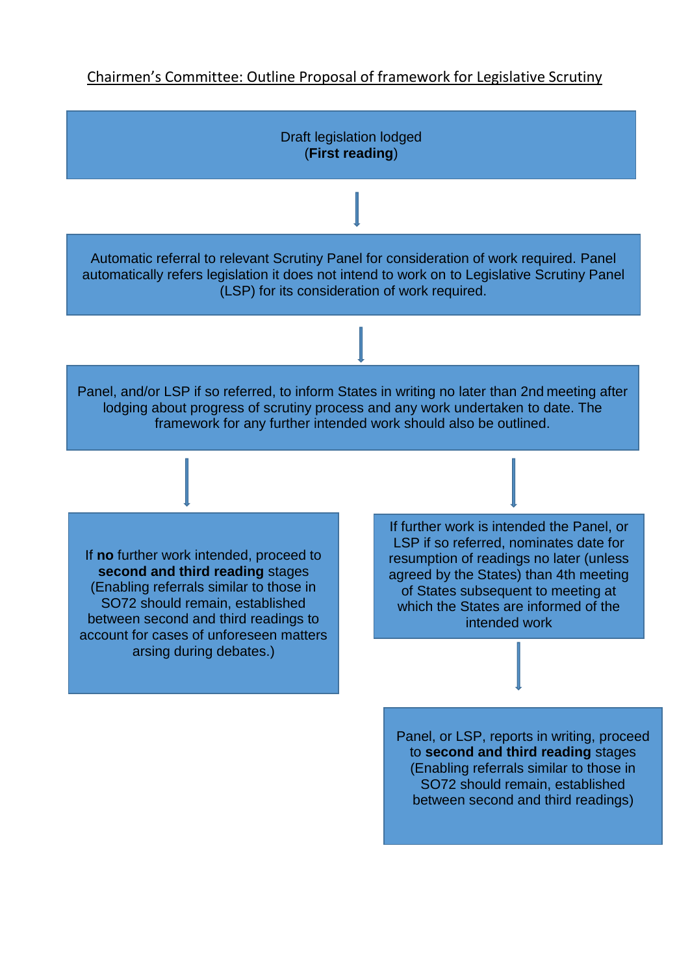## Chairmen's Committee: Outline Proposal of framework for Legislative Scrutiny